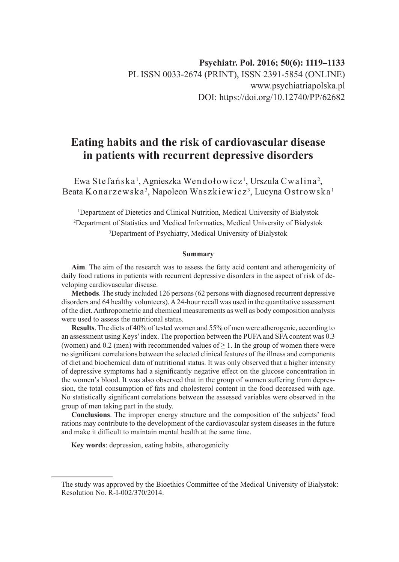# **Eating habits and the risk of cardiovascular disease in patients with recurrent depressive disorders**

Ewa Stefańska', Agnieszka Wendołowicz', Urszula Cwalina<sup>2</sup>, Beata Konarzewska<sup>3</sup>, Napoleon Waszkiewicz<sup>3</sup>, Lucyna Ostrowska <sup>1</sup>

1 Department of Dietetics and Clinical Nutrition, Medical University of Bialystok 2 Department of Statistics and Medical Informatics, Medical University of Bialystok 3 Department of Psychiatry, Medical University of Bialystok

#### **Summary**

**Aim**. The aim of the research was to assess the fatty acid content and atherogenicity of daily food rations in patients with recurrent depressive disorders in the aspect of risk of developing cardiovascular disease.

**Methods**. The study included 126 persons (62 persons with diagnosed recurrent depressive disorders and 64 healthy volunteers). A 24-hour recall was used in the quantitative assessment of the diet. Anthropometric and chemical measurements as well as body composition analysis were used to assess the nutritional status.

**Results**. The diets of 40% of tested women and 55% of men were atherogenic, according to an assessment using Keys' index. The proportion between the PUFA and SFA content was 0.3 (women) and 0.2 (men) with recommended values of  $\geq 1$ . In the group of women there were no significant correlations between the selected clinical features of the illness and components of diet and biochemical data of nutritional status. It was only observed that a higher intensity of depressive symptoms had a significantly negative effect on the glucose concentration in the women's blood. It was also observed that in the group of women suffering from depression, the total consumption of fats and cholesterol content in the food decreased with age. No statistically significant correlations between the assessed variables were observed in the group of men taking part in the study.

**Conclusions**. The improper energy structure and the composition of the subjects' food rations may contribute to the development of the cardiovascular system diseases in the future and make it difficult to maintain mental health at the same time.

**Key words**: depression, eating habits, atherogenicity

The study was approved by the Bioethics Committee of the Medical University of Bialystok: Resolution No. R-I-002/370/2014.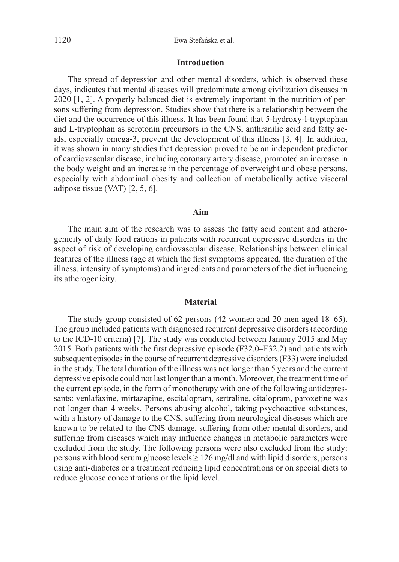## **Introduction**

The spread of depression and other mental disorders, which is observed these days, indicates that mental diseases will predominate among civilization diseases in 2020 [1, 2]. A properly balanced diet is extremely important in the nutrition of persons suffering from depression. Studies show that there is a relationship between the diet and the occurrence of this illness. It has been found that 5-hydroxy-l-tryptophan and L-tryptophan as serotonin precursors in the CNS, anthranilic acid and fatty acids, especially omega-3, prevent the development of this illness [3, 4]. In addition, it was shown in many studies that depression proved to be an independent predictor of cardiovascular disease, including coronary artery disease, promoted an increase in the body weight and an increase in the percentage of overweight and obese persons, especially with abdominal obesity and collection of metabolically active visceral adipose tissue (VAT) [2, 5, 6].

### **Aim**

The main aim of the research was to assess the fatty acid content and atherogenicity of daily food rations in patients with recurrent depressive disorders in the aspect of risk of developing cardiovascular disease. Relationships between clinical features of the illness (age at which the first symptoms appeared, the duration of the illness, intensity of symptoms) and ingredients and parameters of the diet influencing its atherogenicity.

#### **Material**

The study group consisted of 62 persons (42 women and 20 men aged 18–65). The group included patients with diagnosed recurrent depressive disorders (according to the ICD-10 criteria) [7]. The study was conducted between January 2015 and May 2015. Both patients with the first depressive episode (F32.0–F32.2) and patients with subsequent episodes in the course of recurrent depressive disorders (F33) were included in the study. The total duration of the illness was not longer than 5 years and the current depressive episode could not last longer than a month. Moreover, the treatment time of the current episode, in the form of monotherapy with one of the following antidepressants: venlafaxine, mirtazapine, escitalopram, sertraline, citalopram, paroxetine was not longer than 4 weeks. Persons abusing alcohol, taking psychoactive substances, with a history of damage to the CNS, suffering from neurological diseases which are known to be related to the CNS damage, suffering from other mental disorders, and suffering from diseases which may influence changes in metabolic parameters were excluded from the study. The following persons were also excluded from the study: persons with blood serum glucose levels  $\geq 126$  mg/dl and with lipid disorders, persons using anti-diabetes or a treatment reducing lipid concentrations or on special diets to reduce glucose concentrations or the lipid level.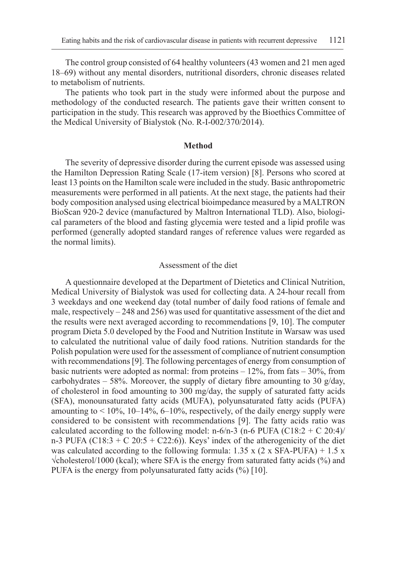The control group consisted of 64 healthy volunteers (43 women and 21 men aged 18–69) without any mental disorders, nutritional disorders, chronic diseases related to metabolism of nutrients.

The patients who took part in the study were informed about the purpose and methodology of the conducted research. The patients gave their written consent to participation in the study. This research was approved by the Bioethics Committee of the Medical University of Bialystok (No. R-I-002/370/2014).

#### **Method**

The severity of depressive disorder during the current episode was assessed using the Hamilton Depression Rating Scale (17-item version) [8]. Persons who scored at least 13 points on the Hamilton scale were included in the study. Basic anthropometric measurements were performed in all patients. At the next stage, the patients had their body composition analysed using electrical bioimpedance measured by a MALTRON BioScan 920-2 device (manufactured by Maltron International TLD). Also, biological parameters of the blood and fasting glycemia were tested and a lipid profile was performed (generally adopted standard ranges of reference values were regarded as the normal limits).

#### Assessment of the diet

A questionnaire developed at the Department of Dietetics and Clinical Nutrition, Medical University of Bialystok was used for collecting data. A 24-hour recall from 3 weekdays and one weekend day (total number of daily food rations of female and male, respectively  $-248$  and 256) was used for quantitative assessment of the diet and the results were next averaged according to recommendations [9, 10]. The computer program Dieta 5.0 developed by the Food and Nutrition Institute in Warsaw was used to calculated the nutritional value of daily food rations. Nutrition standards for the Polish population were used for the assessment of compliance of nutrient consumption with recommendations [9]. The following percentages of energy from consumption of basic nutrients were adopted as normal: from proteins  $-12\%$ , from fats  $-30\%$ , from carbohydrates – 58%. Moreover, the supply of dietary fibre amounting to 30  $g/day$ , of cholesterol in food amounting to 300 mg/day, the supply of saturated fatty acids (SFA), monounsaturated fatty acids (MUFA), polyunsaturated fatty acids (PUFA) amounting to  $\leq 10\%$ , 10–14%, 6–10%, respectively, of the daily energy supply were considered to be consistent with recommendations [9]. The fatty acids ratio was calculated according to the following model: n-6/n-3 (n-6 PUFA (C18:2 + C 20:4)/ n-3 PUFA (C18:3 + C 20:5 + C22:6)). Keys' index of the atherogenicity of the diet was calculated according to the following formula:  $1.35 \times (2 \times \text{SFA-PUFA}) + 1.5 \times$ √cholesterol/1000 (kcal); where SFA is the energy from saturated fatty acids (%) and PUFA is the energy from polyunsaturated fatty acids  $(\%)$  [10].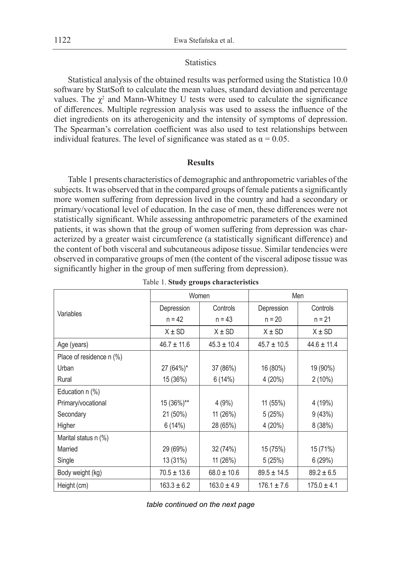## **Statistics**

Statistical analysis of the obtained results was performed using the Statistica 10.0 software by StatSoft to calculate the mean values, standard deviation and percentage values. The  $\chi^2$  and Mann-Whitney U tests were used to calculate the significance of differences. Multiple regression analysis was used to assess the influence of the diet ingredients on its atherogenicity and the intensity of symptoms of depression. The Spearman's correlation coefficient was also used to test relationships between individual features. The level of significance was stated as  $\alpha = 0.05$ .

## **Results**

Table 1 presents characteristics of demographic and anthropometric variables of the subjects. It was observed that in the compared groups of female patients a significantly more women suffering from depression lived in the country and had a secondary or primary/vocational level of education. In the case of men, these differences were not statistically significant. While assessing anthropometric parameters of the examined patients, it was shown that the group of women suffering from depression was characterized by a greater waist circumference (a statistically significant difference) and the content of both visceral and subcutaneous adipose tissue. Similar tendencies were observed in comparative groups of men (the content of the visceral adipose tissue was significantly higher in the group of men suffering from depression).

|                          |                 | Women           | Men             |                 |  |
|--------------------------|-----------------|-----------------|-----------------|-----------------|--|
|                          | Depression      | Controls        | Depression      | Controls        |  |
| Variables                | $n = 42$        | $n = 43$        | $n = 20$        | $n = 21$        |  |
|                          | $X \pm SD$      | $X \pm SD$      | $X \pm SD$      | $X \pm SD$      |  |
| Age (years)              | $46.7 \pm 11.6$ | $45.3 \pm 10.4$ | $45.7 \pm 10.5$ | $44.6 \pm 11.4$ |  |
| Place of residence n (%) |                 |                 |                 |                 |  |
| Urban                    | 27 (64%)*       | 37 (86%)        | 16 (80%)        | 19 (90%)        |  |
| Rural                    | 15 (36%)        | 6(14%)          | 4(20%)          | $2(10\%)$       |  |
| Education $n$ $%$ )      |                 |                 |                 |                 |  |
| Primary/vocational       | 15 (36%)**      | 4(9%)           | 11 (55%)        | 4 (19%)         |  |
| Secondary                | 21 (50%)        | 11 (26%)        | 5(25%)          | 9(43%)          |  |
| Higher                   | 6(14%)          | 28 (65%)        | 4(20%)          | 8(38%)          |  |
| Marital status n (%)     |                 |                 |                 |                 |  |
| Married                  | 29 (69%)        | 32 (74%)        | 15 (75%)        | 15 (71%)        |  |
| Single                   | 13 (31%)        | 11(26%)         | 5(25%)          | 6(29%)          |  |
| Body weight (kg)         | $70.5 \pm 13.6$ | $68.0 \pm 10.6$ | $89.5 \pm 14.5$ | $89.2 \pm 6.5$  |  |
| Height (cm)              | $163.3 \pm 6.2$ | $163.0 \pm 4.9$ | $176.1 \pm 7.6$ | $175.0 \pm 4.1$ |  |

Table 1. **Study groups characteristics**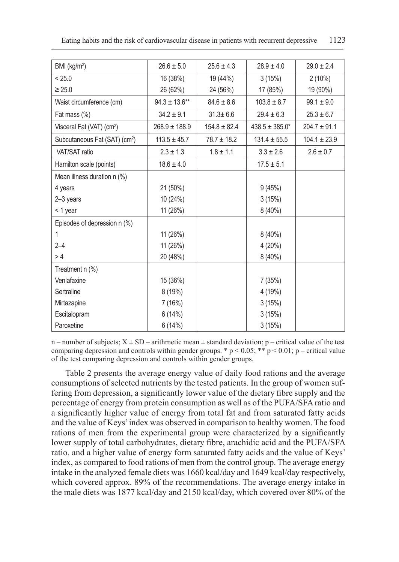| BMI (kg/m <sup>2</sup> )                  | $26.6 \pm 5.0$     | $25.6 \pm 4.3$   | $28.9 \pm 4.0$     | $29.0 \pm 2.4$   |
|-------------------------------------------|--------------------|------------------|--------------------|------------------|
| < 25.0                                    | 16 (38%)           | 19 (44%)         | 3(15%)             | $2(10\%)$        |
| $\geq 25.0$                               | 26 (62%)           | 24 (56%)         | 17 (85%)           | 19 (90%)         |
| Waist circumference (cm)                  | $94.3 \pm 13.6$ ** | $84.6 \pm 8.6$   | $103.8 \pm 8.7$    | $99.1 \pm 9.0$   |
| Fat mass (%)                              | $34.2 \pm 9.1$     | $31.3 \pm 6.6$   | $29.4 \pm 6.3$     | $25.3 \pm 6.7$   |
| Visceral Fat (VAT) (cm <sup>2</sup> )     | $268.9 \pm 188.9$  | $154.8 \pm 82.4$ | $438.5 \pm 385.0*$ | $204.7 \pm 91.1$ |
| Subcutaneous Fat (SAT) (cm <sup>2</sup> ) | $113.5 \pm 45.7$   | $78.7 \pm 18.2$  | $131.4 \pm 55.5$   | $104.1 \pm 23.9$ |
| VAT/SAT ratio                             | $2.3 \pm 1.3$      | $1.8 \pm 1.1$    | $3.3 \pm 2.6$      | $2.6 \pm 0.7$    |
| Hamilton scale (points)                   | $18.6 \pm 4.0$     |                  | $17.5 \pm 5.1$     |                  |
| Mean illness duration n (%)               |                    |                  |                    |                  |
| 4 years                                   | 21 (50%)           |                  | 9(45%)             |                  |
| 2-3 years                                 | 10 (24%)           |                  | 3(15%)             |                  |
| < 1 year                                  | 11 (26%)           |                  | $8(40\%)$          |                  |
| Episodes of depression n (%)              |                    |                  |                    |                  |
| 1                                         | 11 (26%)           |                  | $8(40\%)$          |                  |
| $2 - 4$                                   | 11 (26%)           |                  | 4 (20%)            |                  |
| >4                                        | 20 (48%)           |                  | $8(40\%)$          |                  |
| Treatment n (%)                           |                    |                  |                    |                  |
| Venlafaxine                               | 15 (36%)           |                  | 7 (35%)            |                  |
| Sertraline                                | 8 (19%)            |                  | 4 (19%)            |                  |
| Mirtazapine                               | 7 (16%)            |                  | 3(15%)             |                  |
| Escitalopram                              | 6(14%)             |                  | 3(15%)             |                  |
| Paroxetine                                | 6(14%)             |                  | 3(15%)             |                  |

n – number of subjects;  $X \pm SD$  – arithmetic mean  $\pm$  standard deviation; p – critical value of the test comparing depression and controls within gender groups. \*  $p < 0.05$ ; \*\*  $p < 0.01$ ; p – critical value of the test comparing depression and controls within gender groups.

Table 2 presents the average energy value of daily food rations and the average consumptions of selected nutrients by the tested patients. In the group of women suffering from depression, a significantly lower value of the dietary fibre supply and the percentage of energy from protein consumption as well as of the PUFA/SFA ratio and a significantly higher value of energy from total fat and from saturated fatty acids and the value of Keys' index was observed in comparison to healthy women. The food rations of men from the experimental group were characterized by a significantly lower supply of total carbohydrates, dietary fibre, arachidic acid and the PUFA/SFA ratio, and a higher value of energy form saturated fatty acids and the value of Keys' index, as compared to food rations of men from the control group. The average energy intake in the analyzed female diets was 1660 kcal/day and 1649 kcal/day respectively, which covered approx. 89% of the recommendations. The average energy intake in the male diets was 1877 kcal/day and 2150 kcal/day, which covered over 80% of the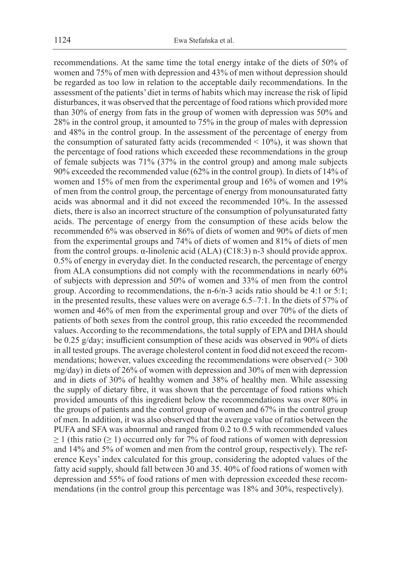recommendations. At the same time the total energy intake of the diets of 50% of women and 75% of men with depression and 43% of men without depression should be regarded as too low in relation to the acceptable daily recommendations. In the assessment of the patients' diet in terms of habits which may increase the risk of lipid disturbances, it was observed that the percentage of food rations which provided more than 30% of energy from fats in the group of women with depression was 50% and 28% in the control group, it amounted to 75% in the group of males with depression and 48% in the control group. In the assessment of the percentage of energy from the consumption of saturated fatty acids (recommended  $\leq 10\%$ ), it was shown that the percentage of food rations which exceeded these recommendations in the group of female subjects was 71% (37% in the control group) and among male subjects 90% exceeded the recommended value (62% in the control group). In diets of 14% of women and 15% of men from the experimental group and 16% of women and 19% of men from the control group, the percentage of energy from monounsaturated fatty acids was abnormal and it did not exceed the recommended 10%. In the assessed diets, there is also an incorrect structure of the consumption of polyunsaturated fatty acids. The percentage of energy from the consumption of these acids below the recommended 6% was observed in 86% of diets of women and 90% of diets of men from the experimental groups and 74% of diets of women and 81% of diets of men from the control groups. α-linolenic acid (ALA) (C18:3) n-3 should provide approx. 0.5% of energy in everyday diet. In the conducted research, the percentage of energy from ALA consumptions did not comply with the recommendations in nearly 60% of subjects with depression and 50% of women and 33% of men from the control group. According to recommendations, the n-6/n-3 acids ratio should be 4:1 or 5:1; in the presented results, these values were on average 6.5–7:1. In the diets of 57% of women and 46% of men from the experimental group and over 70% of the diets of patients of both sexes from the control group, this ratio exceeded the recommended values. According to the recommendations, the total supply of EPA and DHA should be 0.25 g/day; insufficient consumption of these acids was observed in 90% of diets in all tested groups. The average cholesterol content in food did not exceed the recommendations; however, values exceeding the recommendations were observed  $(>300$ mg/day) in diets of 26% of women with depression and 30% of men with depression and in diets of 30% of healthy women and 38% of healthy men. While assessing the supply of dietary fibre, it was shown that the percentage of food rations which provided amounts of this ingredient below the recommendations was over 80% in the groups of patients and the control group of women and 67% in the control group of men. In addition, it was also observed that the average value of ratios between the PUFA and SFA was abnormal and ranged from 0.2 to 0.5 with recommended values  $\geq$  1 (this ratio ( $\geq$  1) occurred only for 7% of food rations of women with depression and 14% and 5% of women and men from the control group, respectively). The reference Keys' index calculated for this group, considering the adopted values of the fatty acid supply, should fall between 30 and 35. 40% of food rations of women with depression and 55% of food rations of men with depression exceeded these recommendations (in the control group this percentage was 18% and 30%, respectively).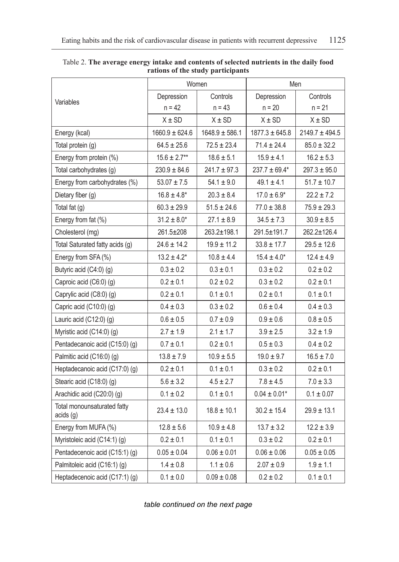|                                          |                    | Women              | Men                |                    |
|------------------------------------------|--------------------|--------------------|--------------------|--------------------|
| Variables                                | Depression         | Controls           | Depression         | Controls           |
|                                          | $n = 42$           | $n = 43$           | $n = 20$           | $n = 21$           |
|                                          | $X \pm SD$         | $X \pm SD$         | $X \pm SD$         | $X \pm SD$         |
| Energy (kcal)                            | $1660.9 \pm 624.6$ | $1648.9 \pm 586.1$ | $1877.3 \pm 645.8$ | $2149.7 \pm 494.5$ |
| Total protein (g)                        | $64.5 \pm 25.6$    | $72.5 \pm 23.4$    | $71.4 \pm 24.4$    | $85.0 \pm 32.2$    |
| Energy from protein (%)                  | $15.6 \pm 2.7***$  | $18.6 \pm 5.1$     | $15.9 \pm 4.1$     | $16.2 \pm 5.3$     |
| Total carbohydrates (g)                  | $230.9 \pm 84.6$   | $241.7 \pm 97.3$   | $237.7 \pm 69.4*$  | $297.3 \pm 95.0$   |
| Energy from carbohydrates (%)            | $53.07 \pm 7.5$    | $54.1 \pm 9.0$     | $49.1 \pm 4.1$     | $51.7 \pm 10.7$    |
| Dietary fiber (g)                        | $16.8 \pm 4.8^*$   | $20.3 \pm 8.4$     | $17.0 \pm 6.9*$    | $22.2 \pm 7.2$     |
| Total fat $(g)$                          | $60.3 \pm 29.9$    | $51.5 \pm 24.6$    | $77.0 \pm 38.8$    | $75.9 \pm 29.3$    |
| Energy from fat (%)                      | $31.2 \pm 8.0*$    | $27.1 \pm 8.9$     | $34.5 \pm 7.3$     | $30.9 \pm 8.5$     |
| Cholesterol (mg)                         | 261.5±208          | 263.2±198.1        | 291.5±191.7        | 262.2±126.4        |
| Total Saturated fatty acids (g)          | $24.6 \pm 14.2$    | $19.9 \pm 11.2$    | $33.8 \pm 17.7$    | $29.5 \pm 12.6$    |
| Energy from SFA (%)                      | $13.2 \pm 4.2^*$   | $10.8 \pm 4.4$     | $15.4 \pm 4.0*$    | $12.4 \pm 4.9$     |
| Butyric acid (C4:0) (g)                  | $0.3 \pm 0.2$      | $0.3 \pm 0.1$      | $0.3 \pm 0.2$      | $0.2 \pm 0.2$      |
| Caproic acid (C6:0) (g)                  | $0.2 \pm 0.1$      | $0.2 \pm 0.2$      | $0.3 \pm 0.2$      | $0.2 \pm 0.1$      |
| Caprylic acid (C8:0) (g)                 | $0.2 \pm 0.1$      | $0.1 \pm 0.1$      | $0.2 \pm 0.1$      | $0.1 \pm 0.1$      |
| Capric acid (C10:0) (g)                  | $0.4 \pm 0.3$      | $0.3 \pm 0.2$      | $0.6 \pm 0.4$      | $0.4 \pm 0.3$      |
| Lauric acid (C12:0) (g)                  | $0.6 \pm 0.5$      | $0.7 \pm 0.9$      | $0.9 \pm 0.6$      | $0.8 \pm 0.5$      |
| Myristic acid (C14:0) (g)                | $2.7 \pm 1.9$      | $2.1 \pm 1.7$      | $3.9 \pm 2.5$      | $3.2 \pm 1.9$      |
| Pentadecanoic acid (C15:0) (g)           | $0.7 \pm 0.1$      | $0.2 \pm 0.1$      | $0.5 \pm 0.3$      | $0.4 \pm 0.2$      |
| Palmitic acid (C16:0) (g)                | $13.8 \pm 7.9$     | $10.9 \pm 5.5$     | $19.0 \pm 9.7$     | $16.5 \pm 7.0$     |
| Heptadecanoic acid (C17:0) (g)           | $0.2 \pm 0.1$      | $0.1 \pm 0.1$      | $0.3 \pm 0.2$      | $0.2 \pm 0.1$      |
| Stearic acid (C18:0) (g)                 | $5.6 \pm 3.2$      | $4.5 \pm 2.7$      | $7.8 \pm 4.5$      | $7.0 \pm 3.3$      |
| Arachidic acid (C20:0) (g)               | $0.1 \pm 0.2$      | $0.1 \pm 0.1$      | $0.04 \pm 0.01*$   | $0.1 \pm 0.07$     |
| Total monounsaturated fatty<br>acids (g) | $23.4 \pm 13.0$    | $18.8 \pm 10.1$    | $30.2 \pm 15.4$    | $29.9 \pm 13.1$    |
| Energy from MUFA (%)                     | $12.8 \pm 5.6$     | $10.9 \pm 4.8$     | $13.7 \pm 3.2$     | $12.2 \pm 3.9$     |
| Myristoleic acid (C14:1) (g)             | $0.2 \pm 0.1$      | $0.1 \pm 0.1$      | $0.3 \pm 0.2$      | $0.2 \pm 0.1$      |
| Pentadecenoic acid (C15:1) (g)           | $0.05 \pm 0.04$    | $0.06 \pm 0.01$    | $0.06 \pm 0.06$    | $0.05 \pm 0.05$    |
| Palmitoleic acid (C16:1) (g)             | $1.4 \pm 0.8$      | $1.1 \pm 0.6$      | $2.07 \pm 0.9$     | $1.9 \pm 1.1$      |
| Heptadecenoic acid (C17:1) (g)           | $0.1\pm0.0$        | $0.09 \pm 0.08$    | $0.2\pm0.2$        | $0.1\pm0.1$        |

Table 2. **The average energy intake and contents of selected nutrients in the daily food rations of the study participants**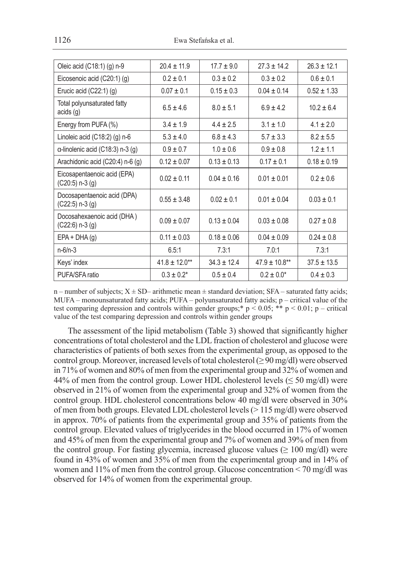| Oleic acid (C18:1) (g) n-9                         | $20.4 \pm 11.9$    | $17.7 + 9.0$    | $27.3 + 14.2$      | $26.3 \pm 12.1$ |
|----------------------------------------------------|--------------------|-----------------|--------------------|-----------------|
| Eicosenoic acid (C20:1) (g)                        | $0.2 \pm 0.1$      | $0.3 \pm 0.2$   | $0.3 \pm 0.2$      | $0.6 \pm 0.1$   |
| Erucic acid (C22:1) (g)                            | $0.07 \pm 0.1$     | $0.15 \pm 0.3$  | $0.04 \pm 0.14$    | $0.52 \pm 1.33$ |
| Total polyunsaturated fatty<br>acids (g)           | $6.5 \pm 4.6$      | $8.0 \pm 5.1$   | $6.9 \pm 4.2$      | $10.2 \pm 6.4$  |
| Energy from PUFA (%)                               | $3.4 \pm 1.9$      | $4.4 \pm 2.5$   | $3.1 \pm 1.0$      | $4.1 \pm 2.0$   |
| Linoleic acid (C18:2) (g) n-6                      | $5.3 \pm 4.0$      | $6.8 \pm 4.3$   | $5.7 \pm 3.3$      | $8.2 \pm 5.5$   |
| $\alpha$ -linolenic acid (C18:3) n-3 (g)           | $0.9 \pm 0.7$      | $1.0 \pm 0.6$   | $0.9 \pm 0.8$      | $1.2 \pm 1.1$   |
| Arachidonic acid (C20:4) n-6 (g)                   | $0.12 \pm 0.07$    | $0.13 \pm 0.13$ | $0.17 \pm 0.1$     | $0.18 \pm 0.19$ |
| Eicosapentaenoic acid (EPA)<br>$(C20:5)$ n-3 $(g)$ | $0.02 \pm 0.11$    | $0.04 \pm 0.16$ | $0.01 \pm 0.01$    | $0.2 \pm 0.6$   |
| Docosapentaenoic acid (DPA)<br>$(C22:5)$ n-3 $(g)$ | $0.55 + 3.48$      | $0.02 + 0.1$    | $0.01 \pm 0.04$    | $0.03 \pm 0.1$  |
| Docosahexaenoic acid (DHA)<br>$(C22:6)$ n-3 $(g)$  | $0.09 \pm 0.07$    | $0.13 \pm 0.04$ | $0.03 \pm 0.08$    | $0.27 \pm 0.8$  |
| $EPA + DHA(g)$                                     | $0.11 \pm 0.03$    | $0.18 \pm 0.06$ | $0.04 \pm 0.09$    | $0.24 \pm 0.8$  |
| $n - 6/n - 3$                                      | 6.5:1              | 7.3:1           | 7.0:1              | 7.3:1           |
| Keys' index                                        | $41.8 \pm 12.0$ ** | $34.3 \pm 12.4$ | $47.9 \pm 10.8$ ** | $37.5 \pm 13.5$ |
| PUFA/SFA ratio                                     | $0.3 \pm 0.2^*$    | $0.5 \pm 0.4$   | $0.2 \pm 0.0^*$    | $0.4 \pm 0.3$   |

n – number of subjects;  $X \pm SD$ – arithmetic mean  $\pm$  standard deviation; SFA – saturated fatty acids; MUFA – monounsaturated fatty acids; PUFA – polyunsaturated fatty acids; p – critical value of the test comparing depression and controls within gender groups;  $p < 0.05$ ; \*\* p < 0.01; p – critical value of the test comparing depression and controls within gender groups

The assessment of the lipid metabolism (Table 3) showed that significantly higher concentrations of total cholesterol and the LDL fraction of cholesterol and glucose were characteristics of patients of both sexes from the experimental group, as opposed to the control group. Moreover, increased levels of total cholesterol ( $\geq$  90 mg/dl) were observed in 71% of women and 80% of men from the experimental group and 32% of women and 44% of men from the control group. Lower HDL cholesterol levels ( $\leq$  50 mg/dl) were observed in 21% of women from the experimental group and 32% of women from the control group. HDL cholesterol concentrations below 40 mg/dl were observed in 30% of men from both groups. Elevated LDL cholesterol levels (> 115 mg/dl) were observed in approx. 70% of patients from the experimental group and 35% of patients from the control group. Elevated values of triglycerides in the blood occurred in 17% of women and 45% of men from the experimental group and 7% of women and 39% of men from the control group. For fasting glycemia, increased glucose values ( $\geq 100 \text{ mg/dl}$ ) were found in 43% of women and 35% of men from the experimental group and in 14% of women and 11% of men from the control group. Glucose concentration  $\leq 70$  mg/dl was observed for 14% of women from the experimental group.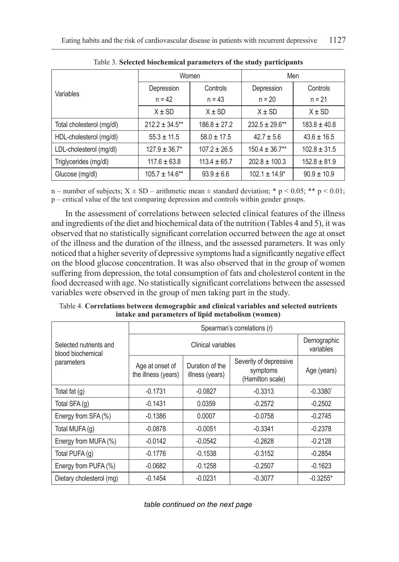|                           | Women               |                  | Men                 |                  |  |
|---------------------------|---------------------|------------------|---------------------|------------------|--|
| Variables                 | Depression          | Controls         | Depression          | Controls         |  |
|                           | $n = 42$            | $n = 43$         | $n = 20$            | $n = 21$         |  |
|                           | $X \pm SD$          | $X \pm SD$       | $X \pm SD$          | $X \pm SD$       |  |
| Total cholesterol (mg/dl) | $212.2 \pm 34.5$ ** | $186.8 \pm 27.2$ | $232.5 \pm 29.6$ ** | $183.8 \pm 40.8$ |  |
| HDL-cholesterol (mg/dl)   | $55.3 \pm 11.5$     | $58.0 \pm 17.5$  | $42.7 \pm 5.6$      | $43.6 \pm 16.5$  |  |
| LDL-cholesterol (mg/dl)   | $127.9 \pm 36.7^*$  | $107.2 \pm 26.5$ | $150.4 \pm 36.7**$  | $102.8 \pm 31.5$ |  |
| Triglycerides (mg/dl)     | $117.6 \pm 63.8$    | $113.4 \pm 65.7$ | $202.8 \pm 100.3$   | $152.8 \pm 81.9$ |  |
| Glucose (mg/dl)           | $105.7 \pm 14.6***$ | $93.9 \pm 6.6$   | $102.1 \pm 14.9^*$  | $90.9 \pm 10.9$  |  |

Table 3. **Selected biochemical parameters of the study participants**

n – number of subjects;  $X \pm SD$  – arithmetic mean  $\pm$  standard deviation; \* p < 0.05; \*\* p < 0.01; p – critical value of the test comparing depression and controls within gender groups.

In the assessment of correlations between selected clinical features of the illness and ingredients of the diet and biochemical data of the nutrition (Tables 4 and 5), it was observed that no statistically significant correlation occurred between the age at onset of the illness and the duration of the illness, and the assessed parameters. It was only noticed that a higher severity of depressive symptoms had a significantly negative effect on the blood glucose concentration. It was also observed that in the group of women suffering from depression, the total consumption of fats and cholesterol content in the food decreased with age. No statistically significant correlations between the assessed variables were observed in the group of men taking part in the study.

Table 4. **Correlations between demographic and clinical variables and selected nutrients intake and parameters of lipid metabolism (women)**

|                                             | Spearman's correlations (r)            |                                    |                                                        |                        |  |
|---------------------------------------------|----------------------------------------|------------------------------------|--------------------------------------------------------|------------------------|--|
| Selected nutrients and<br>blood biochemical |                                        | Demographic<br>variables           |                                                        |                        |  |
| parameters                                  | Age at onset of<br>the illness (years) | Duration of the<br>illness (years) | Severity of depressive<br>symptoms<br>(Hamilton scale) | Age (years)            |  |
| Total fat $(q)$                             | $-0.1731$                              | $-0.0827$                          | $-0.3313$                                              | $-0.3380$ <sup>*</sup> |  |
| Total SFA (g)                               | $-0.1431$                              | 0.0359                             | $-0.2572$                                              | $-0.2502$              |  |
| Energy from SFA (%)                         | $-0.1386$                              | 0.0007                             | $-0.0758$                                              | $-0.2745$              |  |
| Total MUFA (q)                              | $-0.0878$                              | $-0.0051$                          | $-0.3341$                                              | $-0.2378$              |  |
| Energy from MUFA (%)                        | $-0.0142$                              | $-0.0542$                          | $-0.2628$                                              | $-0.2128$              |  |
| Total PUFA (q)                              | $-0.1776$                              | $-0.1538$                          | $-0.3152$                                              | $-0.2854$              |  |
| Energy from PUFA (%)                        | $-0.0682$                              | $-0.1258$                          | $-0.2507$                                              | $-0.1623$              |  |
| Dietary cholesterol (mg)                    | $-0.1454$                              | $-0.0231$                          | $-0.3077$                                              | $-0.3255*$             |  |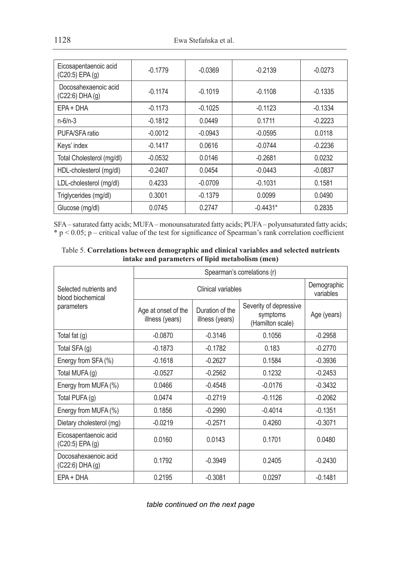| Eicosapentaenoic acid<br>$(C20:5)$ EPA $(g)$ | $-0.1779$ | $-0.0369$ | $-0.2139$  | $-0.0273$ |
|----------------------------------------------|-----------|-----------|------------|-----------|
| Docosahexaenoic acid<br>(C22:6) DHA (g)      | $-0.1174$ | $-0.1019$ | $-0.1108$  | $-0.1335$ |
| $EPA + DHA$                                  | $-0.1173$ | $-0.1025$ | $-0.1123$  | $-0.1334$ |
| $n - 6/n - 3$                                | $-0.1812$ | 0.0449    | 0.1711     | $-0.2223$ |
| PUFA/SFA ratio                               | $-0.0012$ | $-0.0943$ | $-0.0595$  | 0.0118    |
| Keys' index                                  | $-0.1417$ | 0.0616    | $-0.0744$  | $-0.2236$ |
| Total Cholesterol (mg/dl)                    | $-0.0532$ | 0.0146    | $-0.2681$  | 0.0232    |
| HDL-cholesterol (mg/dl)                      | $-0.2407$ | 0.0454    | $-0.0443$  | $-0.0837$ |
| LDL-cholesterol (mg/dl)                      | 0.4233    | $-0.0709$ | $-0.1031$  | 0.1581    |
| Triglycerides (mg/dl)                        | 0.3001    | $-0.1379$ | 0.0099     | 0.0490    |
| Glucose (mg/dl)                              | 0.0745    | 0.2747    | $-0.4431*$ | 0.2835    |

SFA – saturated fatty acids; MUFA – monounsaturated fatty acids; PUFA – polyunsaturated fatty acids;  $*$  p  $<$  0.05; p – critical value of the test for significance of Spearman's rank correlation coefficient

| Table 5. Correlations between demographic and clinical variables and selected nutrients |
|-----------------------------------------------------------------------------------------|
| intake and parameters of lipid metabolism (men)                                         |

|                                              | Spearman's correlations (r)            |                                    |                                                        |             |  |
|----------------------------------------------|----------------------------------------|------------------------------------|--------------------------------------------------------|-------------|--|
| Selected nutrients and<br>blood biochemical  |                                        | Demographic<br>variables           |                                                        |             |  |
| parameters                                   | Age at onset of the<br>illness (years) | Duration of the<br>illness (years) | Severity of depressive<br>symptoms<br>(Hamilton scale) | Age (years) |  |
| Total fat (g)                                | $-0.0870$                              | $-0.3146$                          | 0.1056                                                 | $-0.2958$   |  |
| Total SFA (g)                                | $-0.1873$                              | $-0.1782$                          | 0.183                                                  | $-0.2770$   |  |
| Energy from SFA (%)                          | $-0.1618$                              | $-0.2627$                          | 0.1584                                                 | $-0.3936$   |  |
| Total MUFA (g)                               | $-0.0527$                              | $-0.2562$                          | 0.1232                                                 | $-0.2453$   |  |
| Energy from MUFA (%)                         | 0.0466                                 | $-0.4548$                          | $-0.0176$                                              | $-0.3432$   |  |
| Total PUFA (g)                               | 0.0474                                 | $-0.2719$                          | $-0.1126$                                              | $-0.2062$   |  |
| Energy from MUFA (%)                         | 0.1856                                 | $-0.2990$                          | $-0.4014$                                              | $-0.1351$   |  |
| Dietary cholesterol (mg)                     | $-0.0219$                              | $-0.2571$                          | 0.4260                                                 | $-0.3071$   |  |
| Eicosapentaenoic acid<br>$(C20:5)$ EPA $(g)$ | 0.0160                                 | 0.0143                             | 0.1701                                                 | 0.0480      |  |
| Docosahexaenoic acid<br>$(C22:6)$ DHA $(g)$  | 0.1792                                 | $-0.3949$                          | 0.2405                                                 | $-0.2430$   |  |
| $EPA + DHA$                                  | 0.2195                                 | $-0.3081$                          | 0.0297                                                 | $-0.1481$   |  |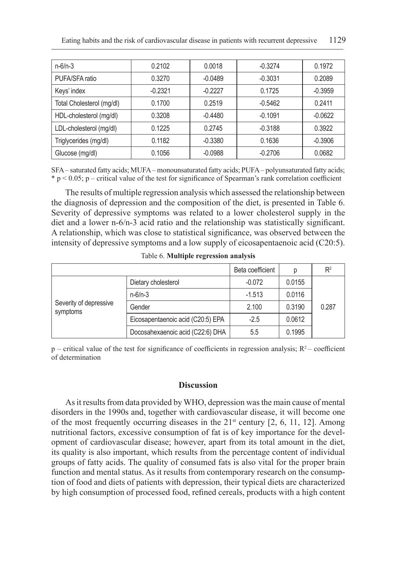| $n - 6/n - 3$             | 0.2102    | 0.0018    | $-0.3274$ | 0.1972    |
|---------------------------|-----------|-----------|-----------|-----------|
| PUFA/SFA ratio            | 0.3270    | $-0.0489$ | $-0.3031$ | 0.2089    |
| Keys' index               | $-0.2321$ | $-0.2227$ | 0.1725    | $-0.3959$ |
| Total Cholesterol (mg/dl) | 0.1700    | 0.2519    | $-0.5462$ | 0.2411    |
| HDL-cholesterol (mg/dl)   | 0.3208    | $-0.4480$ | $-0.1091$ | $-0.0622$ |
| LDL-cholesterol (mg/dl)   | 0.1225    | 0.2745    | $-0.3188$ | 0.3922    |
| Triglycerides (mg/dl)     | 0.1182    | $-0.3380$ | 0.1636    | $-0.3906$ |
| Glucose (mg/dl)           | 0.1056    | $-0.0988$ | $-0.2706$ | 0.0682    |

SFA – saturated fatty acids; MUFA – monounsaturated fatty acids; PUFA – polyunsaturated fatty acids;  $* p < 0.05$ ; p – critical value of the test for significance of Spearman's rank correlation coefficient

The results of multiple regression analysis which assessed the relationship between the diagnosis of depression and the composition of the diet, is presented in Table 6. Severity of depressive symptoms was related to a lower cholesterol supply in the diet and a lower n-6/n-3 acid ratio and the relationship was statistically significant. A relationship, which was close to statistical significance, was observed between the intensity of depressive symptoms and a low supply of eicosapentaenoic acid (C20:5).

|                                    |                                   | Beta coefficient | р      | $R^2$ |
|------------------------------------|-----------------------------------|------------------|--------|-------|
| Severity of depressive<br>symptoms | Dietary cholesterol               | $-0.072$         | 0.0155 |       |
|                                    | $n - 6/n - 3$                     | $-1.513$         | 0.0116 |       |
|                                    | Gender                            | 2.100            | 0.3190 | 0.287 |
|                                    | Eicosapentaenoic acid (C20:5) EPA | $-2.5$           | 0.0612 |       |
|                                    | Docosahexaenoic acid (C22:6) DHA  | 5.5              | 0.1995 |       |

Table 6. **Multiple regression analysis**

 $p$  – critical value of the test for significance of coefficients in regression analysis;  $R^2$  – coefficient of determination

#### **Discussion**

As it results from data provided by WHO, depression was the main cause of mental disorders in the 1990s and, together with cardiovascular disease, it will become one of the most frequently occurring diseases in the  $21^{st}$  century [2, 6, 11, 12]. Among nutritional factors, excessive consumption of fat is of key importance for the development of cardiovascular disease; however, apart from its total amount in the diet, its quality is also important, which results from the percentage content of individual groups of fatty acids. The quality of consumed fats is also vital for the proper brain function and mental status. As it results from contemporary research on the consumption of food and diets of patients with depression, their typical diets are characterized by high consumption of processed food, refined cereals, products with a high content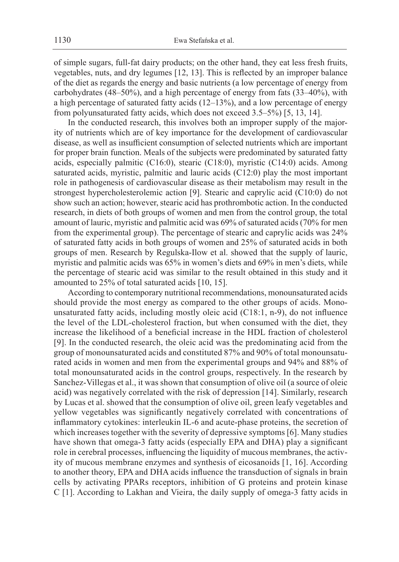of simple sugars, full-fat dairy products; on the other hand, they eat less fresh fruits, vegetables, nuts, and dry legumes [12, 13]. This is reflected by an improper balance of the diet as regards the energy and basic nutrients (a low percentage of energy from carbohydrates (48–50%), and a high percentage of energy from fats (33–40%), with a high percentage of saturated fatty acids (12–13%), and a low percentage of energy from polyunsaturated fatty acids, which does not exceed 3.5–5%) [5, 13, 14].

In the conducted research, this involves both an improper supply of the majority of nutrients which are of key importance for the development of cardiovascular disease, as well as insufficient consumption of selected nutrients which are important for proper brain function. Meals of the subjects were predominated by saturated fatty acids, especially palmitic (C16:0), stearic (C18:0), myristic (C14:0) acids. Among saturated acids, myristic, palmitic and lauric acids (C12:0) play the most important role in pathogenesis of cardiovascular disease as their metabolism may result in the strongest hypercholesterolemic action [9]. Stearic and caprylic acid (C10:0) do not show such an action; however, stearic acid has prothrombotic action. In the conducted research, in diets of both groups of women and men from the control group, the total amount of lauric, myristic and palmitic acid was 69% of saturated acids (70% for men from the experimental group). The percentage of stearic and caprylic acids was 24% of saturated fatty acids in both groups of women and 25% of saturated acids in both groups of men. Research by Regulska-Ilow et al. showed that the supply of lauric, myristic and palmitic acids was 65% in women's diets and 69% in men's diets, while the percentage of stearic acid was similar to the result obtained in this study and it amounted to 25% of total saturated acids [10, 15].

According to contemporary nutritional recommendations, monounsaturated acids should provide the most energy as compared to the other groups of acids. Monounsaturated fatty acids, including mostly oleic acid (C18:1, n-9), do not influence the level of the LDL-cholesterol fraction, but when consumed with the diet, they increase the likelihood of a beneficial increase in the HDL fraction of cholesterol [9]. In the conducted research, the oleic acid was the predominating acid from the group of monounsaturated acids and constituted 87% and 90% of total monounsaturated acids in women and men from the experimental groups and 94% and 88% of total monounsaturated acids in the control groups, respectively. In the research by Sanchez-Villegas et al., it was shown that consumption of olive oil (a source of oleic acid) was negatively correlated with the risk of depression [14]. Similarly, research by Lucas et al. showed that the consumption of olive oil, green leafy vegetables and yellow vegetables was significantly negatively correlated with concentrations of inflammatory cytokines: interleukin IL-6 and acute-phase proteins, the secretion of which increases together with the severity of depressive symptoms [6]. Many studies have shown that omega-3 fatty acids (especially EPA and DHA) play a significant role in cerebral processes, influencing the liquidity of mucous membranes, the activity of mucous membrane enzymes and synthesis of eicosanoids [1, 16]. According to another theory, EPA and DHA acids influence the transduction of signals in brain cells by activating PPARs receptors, inhibition of G proteins and protein kinase C [1]. According to Lakhan and Vieira, the daily supply of omega-3 fatty acids in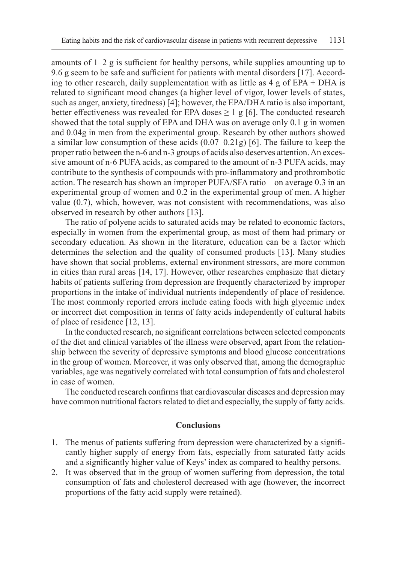amounts of  $1-2$  g is sufficient for healthy persons, while supplies amounting up to 9.6 g seem to be safe and sufficient for patients with mental disorders [17]. According to other research, daily supplementation with as little as  $4 \text{ g}$  of EPA + DHA is related to significant mood changes (a higher level of vigor, lower levels of states, such as anger, anxiety, tiredness) [4]; however, the EPA/DHA ratio is also important, better effectiveness was revealed for EPA doses  $\geq 1$  g [6]. The conducted research showed that the total supply of EPA and DHA was on average only 0.1 g in women and 0.04g in men from the experimental group. Research by other authors showed a similar low consumption of these acids  $(0.07-0.21g)$  [6]. The failure to keep the proper ratio between the n-6 and n-3 groups of acids also deserves attention. An excessive amount of n-6 PUFA acids, as compared to the amount of n-3 PUFA acids, may contribute to the synthesis of compounds with pro-inflammatory and prothrombotic action. The research has shown an improper PUFA/SFA ratio – on average 0.3 in an experimental group of women and 0.2 in the experimental group of men. A higher value (0.7), which, however, was not consistent with recommendations, was also observed in research by other authors [13].

The ratio of polyene acids to saturated acids may be related to economic factors, especially in women from the experimental group, as most of them had primary or secondary education. As shown in the literature, education can be a factor which determines the selection and the quality of consumed products [13]. Many studies have shown that social problems, external environment stressors, are more common in cities than rural areas [14, 17]. However, other researches emphasize that dietary habits of patients suffering from depression are frequently characterized by improper proportions in the intake of individual nutrients independently of place of residence. The most commonly reported errors include eating foods with high glycemic index or incorrect diet composition in terms of fatty acids independently of cultural habits of place of residence [12, 13].

In the conducted research, no significant correlations between selected components of the diet and clinical variables of the illness were observed, apart from the relationship between the severity of depressive symptoms and blood glucose concentrations in the group of women. Moreover, it was only observed that, among the demographic variables, age was negatively correlated with total consumption of fats and cholesterol in case of women.

The conducted research confirms that cardiovascular diseases and depression may have common nutritional factors related to diet and especially, the supply of fatty acids.

### **Conclusions**

- 1. The menus of patients suffering from depression were characterized by a significantly higher supply of energy from fats, especially from saturated fatty acids and a significantly higher value of Keys' index as compared to healthy persons.
- 2. It was observed that in the group of women suffering from depression, the total consumption of fats and cholesterol decreased with age (however, the incorrect proportions of the fatty acid supply were retained).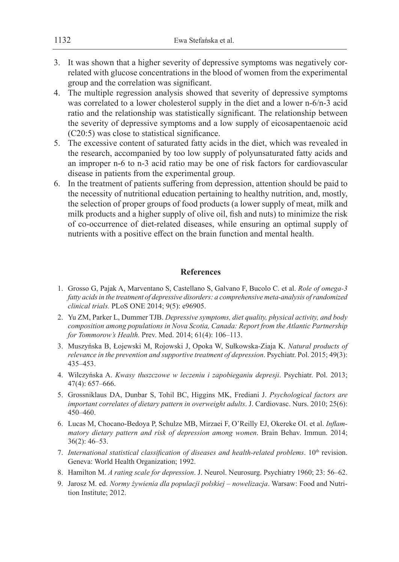- 3. It was shown that a higher severity of depressive symptoms was negatively correlated with glucose concentrations in the blood of women from the experimental group and the correlation was significant.
- 4. The multiple regression analysis showed that severity of depressive symptoms was correlated to a lower cholesterol supply in the diet and a lower n-6/n-3 acid ratio and the relationship was statistically significant. The relationship between the severity of depressive symptoms and a low supply of eicosapentaenoic acid (C20:5) was close to statistical significance.
- 5. The excessive content of saturated fatty acids in the diet, which was revealed in the research, accompanied by too low supply of polyunsaturated fatty acids and an improper n-6 to n-3 acid ratio may be one of risk factors for cardiovascular disease in patients from the experimental group.
- 6. In the treatment of patients suffering from depression, attention should be paid to the necessity of nutritional education pertaining to healthy nutrition, and, mostly, the selection of proper groups of food products (a lower supply of meat, milk and milk products and a higher supply of olive oil, fish and nuts) to minimize the risk of co-occurrence of diet-related diseases, while ensuring an optimal supply of nutrients with a positive effect on the brain function and mental health.

## **References**

- 1. Grosso G, Pajak A, Marventano S, Castellano S, Galvano F, Bucolo C. et al. *Role of omega-3 fatty acids in the treatment of depressive disorders: a comprehensive meta-analysis of randomized clinical trials.* PLoS ONE 2014; 9(5): e96905.
- 2. Yu ZM, Parker L, Dummer TJB. *Depressive symptoms, diet quality, physical activity, and body composition among populations in Nova Scotia, Canada: Report from the Atlantic Partnership for Tommorow's Health.* Prev. Med. 2014; 61(4): 106–113.
- 3. Muszyńska B, Łojewski M, Rojowski J, Opoka W, Sułkowska-Ziaja K. *Natural products of relevance in the prevention and supportive treatment of depression*. Psychiatr. Pol. 2015; 49(3): 435–453.
- 4. Wilczyńska A. *Kwasy tłuszczowe w leczeniu i zapobieganiu depresji*. Psychiatr. Pol. 2013; 47(4): 657–666.
- 5. Grossniklaus DA, Dunbar S, Tohil BC, Higgins MK, Frediani J. *Psychological factors are important correlates of dietary pattern in overweight adults*. J. Cardiovasc. Nurs. 2010; 25(6): 450–460.
- 6. Lucas M, Chocano-Bedoya P, Schulze MB, Mirzaei F, O'Reilly EJ, Okereke OI. et al. *Inflammatory dietary pattern and risk of depression among women*. Brain Behav. Immun. 2014; 36(2): 46–53.
- 7. *International statistical classification of diseases and health-related problems*.  $10<sup>th</sup>$  revision. Geneva: World Health Organization; 1992.
- 8. Hamilton M. *A rating scale for depression*. J. Neurol. Neurosurg. Psychiatry 1960; 23: 56–62.
- 9. Jarosz M. ed. *Normy żywienia dla populacji polskiej nowelizacja*. Warsaw: Food and Nutrition Institute; 2012.